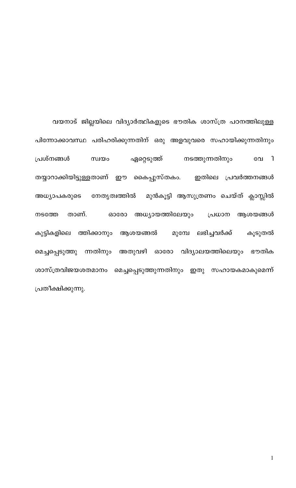വയനാട് ജില്ലയിലെ വിദ്യാർത്ഥികളുടെ ഭൗതിക ശാസ്ത്ര പഠനത്തിലുള്ള പിന്നോക്കാവസ്ഥ പരിഹരിക്കുന്നതിന് ഒരു അളവുവരെ സഹായിക്കുന്നതിനും ഏറ്റെടുത്ത് പ്രശ്നങ്ങൾ നടത്തുന്നതിനും  $\mathbf{a}$ സ്വയം വേ തയ്യാറാക്കിയിട്ടുള്ളതാണ് ഈ കൈപ്പുസ്തകം. ഇതിലെ പ്രവർത്തനങ്ങൾ അധ്യാപകരുടെ നേതൃത്വത്തിൽ മുൻകൂട്ടി ആസുത്രണം ചെയ്ത് ക്ലാസ്സിൽ അധ്യായത്തിലേയും താണ്. പ്രധാന ആശയങ്ങൾ നടത്തേ ഓരോ ആശയങ്ങൽ മുമ്പേ ലഭിച്ചവർക്ക് കുട്ടികളിലെ ത്തിക്കാനും കൂടുതൽ അതുവഴി ഓരോ വിദ്യാലയത്തിലെയും മെച്ചപ്പെടുത്തു ന്നതിനും ഭൗതിക ശാസ്ത്രവിജയശതമാനം മെച്ചപ്പെടുത്തുന്നതിനും ഇതു സഹായകമാകുമെന്ന് പ്രതീക്ഷിക്കുന്നു.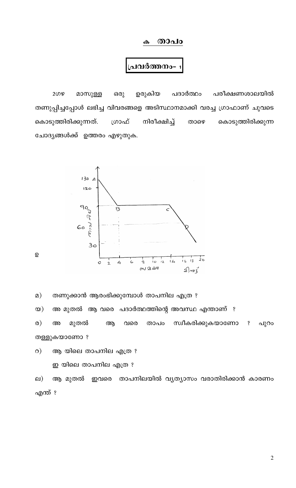#### <u>രാപം</u>  $\boldsymbol{\omega}$

### പവർത്തനം-

പദാർത്ഥം പരീക്ഷണശാലയിൽ മാസുള്ള ഉരുകിയ 2ഗഴ ഒരു തണുപ്പിച്ചപ്പോൾ ലഭിച്ച വിവരങ്ങളെ അടിസ്ഥാനമാക്കി വരച്ച ഗ്രാഫാണ് ചുവടെ കൊടുത്തിരിക്കുന്നത്. നിരീക്ഷിച്ച് ഗ്രാഫ് കൊടുത്തിരിക്കുന്ന താഴെ ചോദ്യങ്ങൾക്ക് ഉത്തരം എഴുതുക.



തണുക്കാൻ ആരംഭിക്കുമ്പോൾ താപനില എത്ര ?  $\Omega$ )

അ മുതൽ ആ വരെ പദാർത്ഥത്തിന്റെ അവസ്ഥ എന്താണ് ?  $\infty)$ 

സ്വീകരിക്കുകയാണോ  $\omega$ ) മുതൽ പുറം അ ആ വരെ താപം  $\mathbf{\hat{S}}$ തള്ളുകയാണോ ?

ആ യിലെ താപനില എത്ര ?  $\circ$ )

ഇ യിലെ താപനില എത്ര ?

ആ മുതൽ ഇവരെ താപനിലയിൽ വ്യത്യാസം വരാതിരിക്കാൻ കാരണം  $\Box$ ) എന്ത് ?

 $\overline{2}$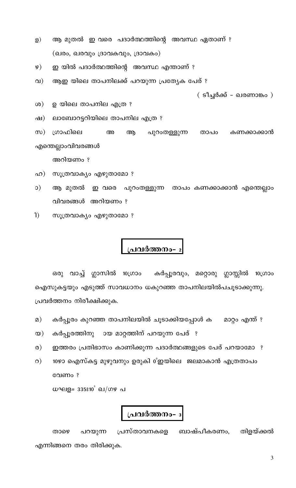- ആ മുതൽ ഇ വരെ പദാർത്ഥത്തിന്റെ അവസ്ഥ ഏതാണ് ? මූ $)$ (ഖരം, ഖരവും ദ്രാവകവും, ദ്രാവകം)
- ഇ യിൽ പദാർത്ഥത്തിന്റെ അവസ്ഥ എന്താണ് ?  $\circ)$
- ആഇ യിലെ താപനിലക്ക് പറയുന്ന പ്രത്യേക പേര് ?  $QI$

( ടീച്ചർക്ക് - ഖരണാങ്കം )

- ഉ യിലെ താപനില എത്ര ?  $(6)$
- ലാബോറട്ടറിയിലെ താപനില എത്ര ? ഷ)

ശ്രാഫിലെ അ  $(\infty)$ ആ പുറംതള്ളുന്ന കണക്കാക്കാൻ താപം എന്തെല്ലാംവിവരങ്ങൾ

അറിയണം ?

- സൂത്രവാക്യം എഴുതാമോ ? ഹ)
- $\circ$ ആ മുതൽ ഇ വരെ പുറംതള്ളുന്ന താപം കണക്കാക്കാൻ എന്തെല്ലാം വിവരങ്ങൾ അറിയണം ?
- $\left( \mathbf{r}\right)$ സൂത്രവാക്യം എഴുതാമോ ?

# പ്രവർത്തനം-

ഒരു വാച്ച് ഗ്ലാസിൽ 10ഗ്രാം കർപ്പൂരവും, മറ്റൊരു ഗ്ലാസ്സിൽ 10ഗ്രാം ഐസുകട്ടയും എടുത്ത് സാവധാനം ധകുറഞ്ഞ താപനിലയിൽപചൂടാക്കുന്നു. പ്രവർത്തനം നിരീക്ഷിക്കുക.

- കർപ്പൂരം കുറഞ്ഞ താപനിലയിൽ ചൂടാക്കിയപ്പോൾ ക മാറ്റം എന്ത് ?  $\Omega$ )
- കർപ്പൂരത്തിനു ായ മാറ്റത്തിന് പറയുന്ന പേര് ?  $\infty$ )
- ഇത്തരം പ്രതിഭാസം കാണിക്കുന്ന പദാർത്ഥങ്ങളുടെ പേര് പറയാമോ ?  $\circ$ )
- 10ഴാ ഐസ്കട്ട മുഴുവനും ഉരുകി 0°ഇയിലെ ജലമാകാൻ എത്രതാപം  $\circ$ ) വേണം?

ധഘള= 335810 വ/ഗഴ പ

### പ്രവർത്തനം-  $_3$

പ്രസ്താവനകളെ ബാഷ്പീകരണം, തിളയ്ക്കൽ താഴെ പറയുന്ന എന്നിങ്ങനെ തരം തിരിക്കുക.

 $\overline{3}$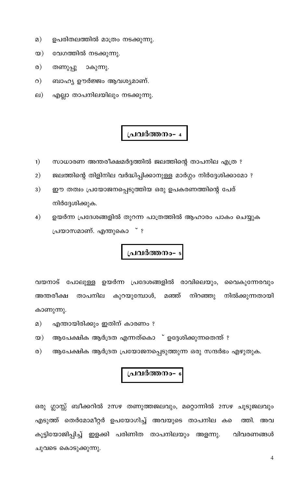- ഉപരിതലത്തിൽ മാത്രം നടക്കുന്നു.  $\Omega$ )
- വേഗത്തിൽ നടക്കുന്നു.  $\infty)$
- ര) തണുപ്പു ാകുന്നു.
- ബാഹ്യ ഊർജ്ജം ആവശ്യമാണ്.  $\circ$ )
- എല്ലാ താപനിലയിലും നടക്കുന്നു. ല)

- $1)$ സാധാരണ അന്തരീക്ഷമർദ്ദത്തിൽ ജലത്തിന്റെ താപനില എത്ര ?
- $2)$ ജലത്തിന്റെ തിളിനില വർദ്ധിപ്പിക്കാനുള്ള മാർഗ്ഗം നിർദ്ദേശിക്കാമോ ?
- $3)$ ഈ തത്വം പ്രയോജനപ്പെടുത്തിയ ഒരു ഉപകരണത്തിന്റെ പേര് നിർദ്ദേശിക്കുക.
- ഉയർന്ന പ്രദേശങ്ങളിൽ തുറന്ന പാത്രത്തിൽ ആഹാരം പാകം ചെയ്യുക  $4)$  $\degree$  ? പ്രയാസമാണ്. എന്തുകൊ

# പ്രവർത്തനം- 5

വയനാട് പോലുള്ള ഉയർന്ന പ്രദേശങ്ങളിൽ രാവിലെയും, വൈകുന്നേരവും അന്തരീക്ഷ താപനില കുറയുമ്പോൾ, മഞ്ഞ് നിറഞ്ഞു നിൽക്കുന്നതായി കാണുന്നു.

- $\Omega$ ) എന്തായിരിക്കും ഇതിന് കാരണം ?
- ആപേക്ഷിക ആർദ്രത എന്നത്കൊ ് ഉദ്ദേശിക്കുന്നതെന്ത് ?  $\infty)$
- ആപേക്ഷിക ആർദ്രത പ്രയോജനപ്പെടുത്തുന്ന ഒരു സന്ദർഭം എഴുതുക.  $\circ$

# പ്രവർത്തനം-  $\epsilon$

ഒരു ഗ്ലാസ്സ് ബീക്കറിൽ 2സഴ തണുത്തജലവും, മറ്റൊന്നിൽ 2സഴ ചൂടുജലവും എടുത്ത് തെർമോമീറ്റർ ഉപയോഗിച്ച് അവയുടെ താപനില കടെ ത്തി. അവ കൂട്ടിയോജിപ്പിച്ച് ഇളക്കി പരിണിത താപനിലയും അളന്നു. വിവരണങ്ങൾ ചുവടെ കൊടുക്കുന്നു.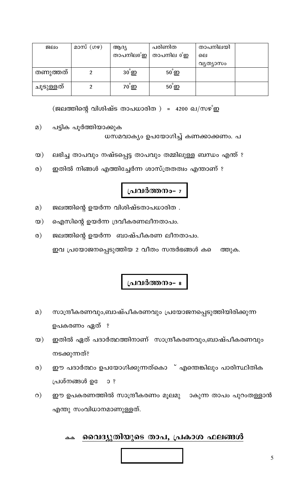

#### <u>വൈദ്യുതിയുടെ താപ, പ്രകാശ ഫലങ്ങൾ</u> കക

 $\circ$ ) ഈ ഉപകരണത്തിൽ സാന്ദ്രീകരണം മൂലമു \_ാകുന്ന താപം പുറംതള്ളാൻ

- ഈ പദാർത്ഥം ഉപയോഗിക്കുന്നത്കൊ ് എന്തെങ്കിലും പാരിസ്ഥിതിക  $\circ$ ) പ്രശ്നങ്ങൾ ഉേ  $O<sub>2</sub>$
- ഇതിൽ ഏത് പദാർത്ഥത്തിനാണ് സാന്ദ്രീകരണവും,ബാഷ്പീകരണവും  $\infty)$ നടക്കുന്നത്?
- ഉപകരണം ഏത് ?
- $\Omega$ ) സാന്ദ്രീകരണവും,ബാഷ്പീകരണവും പ്രയോജനപ്പെടുത്തിയിരിക്കുന്ന
- പ്രവർത്തനം- ഃ
- ജലത്തിന്റെ ഉയർന്ന ബാഷ്പീകരണ ലീനതാപം.  $\circ$ )

ഇവ പ്രയോജനപ്പെടുത്തിയ 2 വീതം സന്ദർഭങ്ങൾ കടെ

- 
- ഐസിന്റെ ഉയർന്ന ദ്രവീകരണലീനതാപം.  $\infty)$

എന്തു സംവിധാനമാണുള്ളത്.

- 
- ജലത്തിന്റെ ഉയർന്ന വിശിഷ്ടതാപധാരിത .  $\Omega$ )
- 

പട്ടിക പൂർത്തിയാക്കുക

 $\Omega$ )

- പ്രവർത്തനം- <del>7</del>
- $\circ$ ) ഇതിൽ നിങ്ങൾ എത്തിച്ചേർന്ന ശാസ്ത്രതത്വം എന്താണ് ?
- 
- 
- $\infty)$
- ലഭിച്ച താപവും നഷ്ടപ്പെട്ട താപവും തമ്മിലുള്ള ബന്ധം എന്ത് ?
- 
- 
- 
- 
- 
- 
- 

| ചൂടുള്ളത് |                                              | 70 ഇ | 50 <sub>5</sub> |  |
|-----------|----------------------------------------------|------|-----------------|--|
|           | (ജലത്തിന്റെ വിശിഷ്ട താപധാരിത ) = 4200 ഖ/സഴിഇ |      |                 |  |

| ജലം       | മാസ് (ഗഴ) | ആദ്യ                   | പരിണിത          | താപനിലയി |  |
|-----------|-----------|------------------------|-----------------|----------|--|
|           |           | താപനിലo°ഇ <sup> </sup> | താപനില 0°ഇ      | ലെ       |  |
|           |           |                        |                 | വൃത്യാസം |  |
| തണുത്തത്  |           | $30^{8}$ ഇ             | $50^{\circ}$    |          |  |
| ചൂടുള്ളത് |           | $70 \Omega$            | 50 <sub>9</sub> |          |  |

ധസമവാക്യം ഉപയോഗിച്ച് കണക്കാക്കണം. പ

ത്തുക.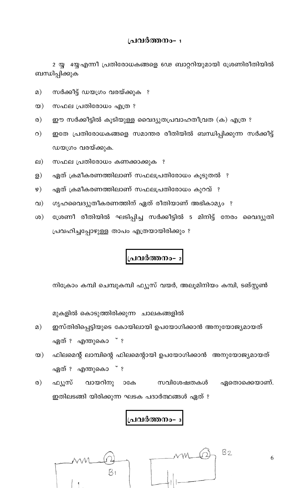2 യ്യ 4യ്യ എന്നീ പ്രതിരോധകങ്ങളെ 6ഢ ബാറ്ററിയുമായി ശ്രേണിരീതിയിൽ ബന്ധിപ്പിക്കുക

- സർക്കീട്ട് ഡയഗ്രം വരയ്ക്കുക ?  $\Omega$ )
- സഫല പ്രതിരോധം എത്ര ?  $\infty)$
- ഈ സർക്കീട്ടിൽ കൂടിയുള്ള വൈദ്യുതപ്രവാഹതീവ്രത (ക) എത്ര ?  $\infty$
- $\circ$ ) ഇതേ പ്രതിരോധകങ്ങളെ സമാന്തര രീതിയിൽ ബന്ധിപ്പിക്കുന്ന സർക്കീട്ട് ഡയഗ്രം വരയ്ക്കുക.
- സഫല പ്രതിരോധം കണക്കാക്കുക ?  $\Box$ )
- ഏത് ക്രമീകരണത്തിലാണ് സഫലപ്രതിരോധം കൂടുതൽ ?  $\mathbf{B}$
- ഏത് ക്രമീകരണത്തിലാണ് സഫലപ്രതിരോധം കുറവ് ?  $\varphi)$
- ഗൃഹവൈദ്യുതീകരണത്തിന് ഏത് രീതിയാണ് അഭികാമ്യം ?  $\Omega$
- ശ്രേണീ രീതിയിൽ ഘടിപ്പിച്ച സർക്കീട്ടിൽ 5 മിനിട്ട് നേരം വൈദ്യുതി  $\infty$ പ്രവഹിച്ചപ്പോഴുള്ള താപം എത്രയായിരിക്കും ?

# ,<mark>പവ</mark>ർത്തനം- <sup>2</sup>

നിക്രോം കമ്പി ചെമ്പുകമ്പി ഫ്യൂസ് വയർ, അലൂമിനിയം കമ്പി, ടങ്സ്റ്റൺ

മുകളിൽ കൊടുത്തിരിക്കുന്ന ചാലകങ്ങളിൽ

- ഇസ്തിരിപ്പെട്ടിയുടെ കോയിലായി ഉപയോഗിക്കാൻ അനുയോജ്യമായത്  $\Omega$ ) ഏത് ഃ എന്തുകൊ ് ഃ
- $\infty$ ) ഫിലമെന്റ് ലാമ്പിന്റെ ഫിലമെന്റായി ഉപയോഗിക്കാൻ അനുയോജ്യമായത് ഏത് ഃ എന്തുകൊ ് ഃ
- വായറിനു ാകേ  $\circ$ ) ഫ്യുസ് സവിശേഷതകൾ ഏതൊക്കെയാണ്. ഇതിലടങ്ങി യിരിക്കുന്ന ഘടക പദാർത്ഥങ്ങൾ ഏത് ?

# പവർത്തനം-



6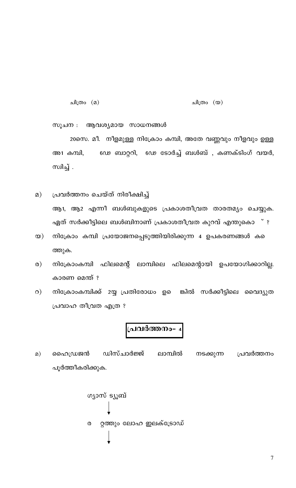ചിത്രം (മ) ചിത്രം (യ)

സൂചന : ആവശ്യമായ സാധനങ്ങൾ

20സെ. മീ. നീളമുള്ള നിക്രോം കമ്പി, അതേ വണ്ണവും നീളവും ഉള്ള അ1 കമ്പി, ഡെ ബാറ്ററി, ഡെ ടോർച്ച് ബൾബ് , കണക്ടിംഗ് വയർ, സിച്ച് .

- പ്രവർത്തനം ചെയ്ത് നിരീക്ഷിച്ച്  $\Omega$ ) ആ1, ആ2 എന്നീ ബൾബുകളുടെ പ്രകാശതീവ്രത താരതമ്യം ചെയ്യുക. ഏത് സർക്കീട്ടിലെ ബൾബിനാണ് പ്രകാശതീവ്രത കുറവ് എന്തുകൊ ് ?
- നിക്രോം കമ്പി പ്രയോജനപ്പെടുത്തിയിരിക്കുന്ന 4 ഉപകരണങ്ങൾ ക  $\infty$ ) ത്തുക.
- നിക്രോംകമ്പി ഫിലമെന്റ് ലാമ്പിലെ ഫിലമെന്റായി ഉപയോഗിക്കാറില്ല.  $\circ$ ) കാരണ മെന്ത് ?
- നിക്രോംകമ്പിക്ക് 2യ്യ പ്രതിരോധം ഉെ ങ്കിൽ സർക്കീട്ടിലെ വൈദ്യുത  $\circ$ ) പ്രവാഹ തീവ്രത എത്ര ?

# പ്രവർത്തനം- <sup>4</sup>

ഡിസ്ചാർജ്ജ്  $\Omega$ ) ഹൈഡ്രജൻ ലാമ്പിൽ നടക്കുന്ന പ്രവർത്തനം പൂർത്തീകരിക്കുക.

ഗ്യാസ് ട്യൂബ് റ്റത്തും ലോഹ ഇലക്ട്രോഡ്  $\boldsymbol{\mathsf{O}}$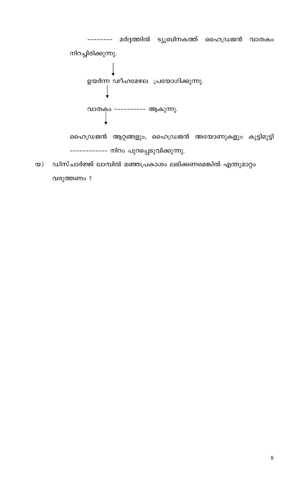

ഡിസ്ചാർജ്ജ് ലാമ്പിൽ മഞ്ഞപ്രകാശം ലഭിക്കണമെങ്കിൽ എന്തുമാറ്റം  $\infty)$ വരുത്തണം ?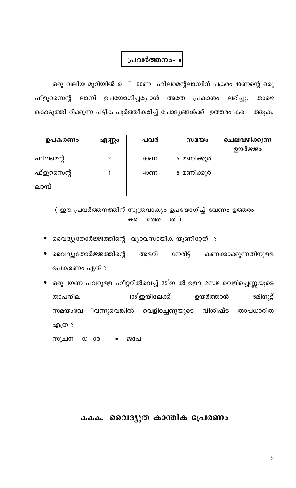ഒരു വലിയ മുറിയിൽ ര ് 60ണ ഫിലമെന്റ്ലാമ്പിന് പകരം 40ണന്റെ ഒരു ഫ്ളൂറസെന്റ് ലാമ്പ് ഉപയോഗിച്ചപ്പോൾ അതേ പ്രകാശം ലഭിച്ചു. താഴെ കൊടുത്തി രിക്കുന്ന പട്ടിക പൂർത്തീകരിച്ച് ചോദ്യങ്ങൾക്ക് ഉത്തരം കടെ ത്തുക.

| ഉപകരണം      | എണ്ണം | പവർ             | $w$ 2 $\omega$ | ചെലവഴിക്കുന്ന<br>ഊർജ്ജം |
|-------------|-------|-----------------|----------------|-------------------------|
| ഫിലമെന്റ്   |       | 60 <sub>6</sub> | 5 മണിക്കൂർ     |                         |
| ഫ്ളൂറസെന്റ് |       | 406D            | 5 മണിക്കൂർ     |                         |
| ലാമ്പ്      |       |                 |                |                         |

( ഈ പ്രവർത്തനത്തിന് സൂത്രവാക്യം ഉപയോഗിച്ച് വേണം ഉത്തരം ത്) ത്തേ കടെ

- വൈദ്യുതോർജ്ജത്തിന്റെ വ്യാവസായിക യൂണിറ്റേത് ?
- വൈദ്യുതോർജ്ജത്തിന്റെ നേരിട്ട് അളവ് കണക്കാക്കുന്നതിനുള്ള ഉപകരണം ഏത് ?
- ഒരു 1ഗണ പവറുള്ള ഹീറ്ററിൽവെച്ച് 25°ഇ ൽ ഉള്ള 2സഴ വെളിച്ചെണ്ണയുടെ ഉയർത്താൻ താപനില 105 ഇയിലേക്ക് 5മിനുട്ട് വെളിച്ചെണ്ണയുടെ വിശിഷ്ട സമയംവേ ിവന്നുവെങ്കിൽ താപധാരിത എത്ര ?

സൂചന ധാര ജപേ  $\equiv$ 

#### വൈദ്യുത കാന്തിക പ്രേരണം കകക.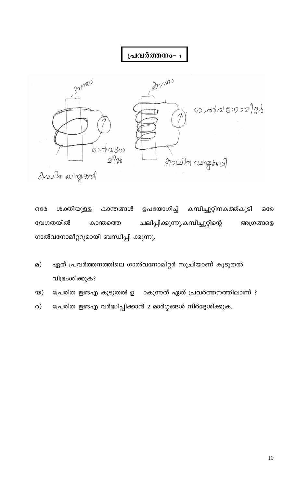

ഉപയോഗിച്ച് കമ്പിച്ചുറ്റിനകത്ത്കൂടി ശക്തിയുള്ള കാന്തങ്ങൾ ഒരേ ഒരേ ചലിപ്പിക്കുന്നു.കമ്പിച്ചുറ്റിന്റെ വേഗതയിൽ കാന്തത്തെ അഗ്രങ്ങളെ ഗാൽവനോമീറ്ററുമായി ബന്ധിപ്പി ക്കുന്നു.

- ഏത് പ്രവർത്തനത്തിലെ ഗാൽവനോമീറ്റർ സൂചിയാണ് കൂടുതൽ  $\Omega$ ) വിഭ്രംശിക്കുക?
- പ്രേരിത ഋങഎ കൂടുതൽ ഉ ാകുന്നത് ഏത് പ്രവർത്തനത്തിലാണ് ?  $\infty)$
- പ്രേരിത ഋങഎ വർദ്ധിപ്പിക്കാൻ 2 മാർഗ്ഗങ്ങൾ നിർദ്ദേശിക്കുക.  $\infty$ )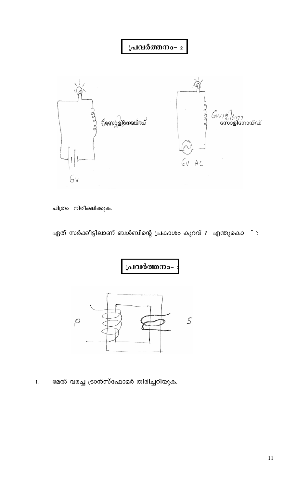

ചിത്രം നിരീക്ഷിക്കുക.

ഏത് സർക്കീട്ടിലാണ് ബൾബിന്റെ പ്രകാശം കുറവ് ? എന്തുകൊ ് ?



മേൽ വരച്ച ട്രാൻസ്ഫോമർ തിരിച്ചറിയുക.  $\mathbf{1}$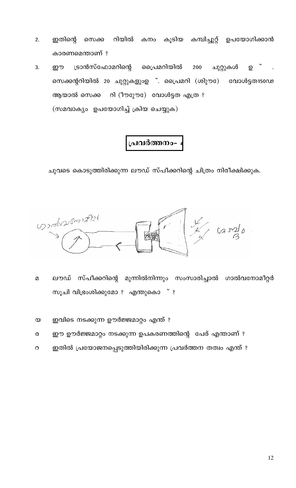- റിയിൽ ഇതിന്റെ സെക്ക കൂടിയ കമ്പിച്ചുറ്റ് ഉപയോഗിക്കാൻ 2. കനം കാരണമെന്താണ് ?
- ട്രാൻസ്ഫോമറിന്റെ പൈമറിയിൽ 200 3. ഈ ചുറ്റുകൾ ഉ സെക്കന്ററിയിൽ 20 ചുറ്റുകളുംഉ ്. പ്രൈമറി (ശിുൗേ) വോൾട്ടത150ഡ ആയാൽ സെക്ക റി (ീൗുോ)േ വോൾട്ടത എത്ര ? (സമവാക്യം ഉപയോഗിച്ച് ക്രിയ ചെയ്യുക)

## പവർത്തനം-

ചുവടെ കൊടുത്തിരിക്കുന്ന ലൗഡ് സ്പീക്കറിന്റെ ചിത്രം നിരീക്ഷിക്കുക.

condicionales

- $\mathfrak{D}$ ലൗഡ് സ്പീക്കറിന്റെ മുന്നിൽനിന്നും സംസാരിച്ചാൽ ഗാൽവനോമീറ്റർ സൂചി വിഭ്രംശിക്കുമോ ? എന്തുകൊ ് ?
- ഇവിടെ നടക്കുന്ന ഊർജ്ജമാറ്റം എന്ത് ?  $\infty$
- ഈ ഊർജ്ജമാറ്റം നടക്കുന്ന ഉപകരണത്തിന്റെ പേര് എന്താണ് ?  $\pmb{\heartsuit}$
- ഇതിൽ പ്രയോജനപ്പെടുത്തിയിരിക്കുന്ന പ്രവർത്തന തത്വം എന്ത് ?  $\Omega$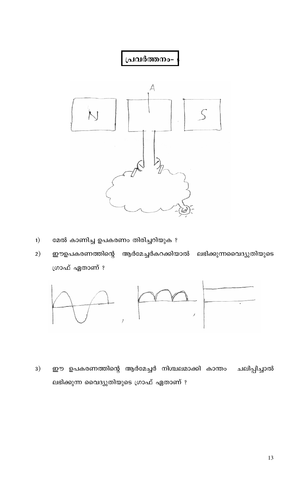

- $1)$ മേൽ കാണിച്ച ഉപകരണം തിരിച്ചറിയുക ?
- ആർമേച്ചർകറക്കിയാൽ  $2)$ ഈഉപകരണത്തിന്റെ ലഭിക്കുന്നവൈദ്യുതിയുടെ ഗ്രാഫ് ഏതാണ് ?



 $3)$ ഈ ഉപകരണത്തിന്റെ ആർമേച്ചർ നിശ്ചലമാക്കി കാന്തം ചലിപ്പിച്ചാൽ ലഭിക്കുന്ന വൈദ്യുതിയുടെ ഗ്രാഫ് ഏതാണ് ?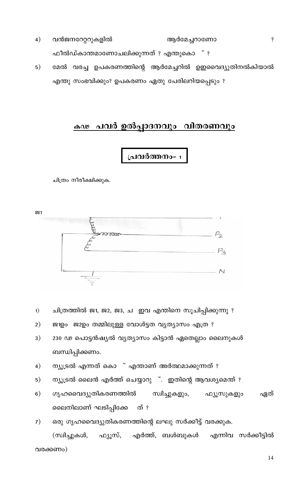- $4)$ വൻജനറേറ്ററുകളിൽ ആർമേച്ചറാണോ ഫീൽഡ്കാന്തമാണോചലിക്കുന്നത് ? എന്തുകൊ ് ?
- $5)$ മേൽ വരച്ച ഉപകരണത്തിന്റെ ആർമേച്ചറിൽ ഉഇവൈദ്യുതിനൽകിയാൽ എന്തു സംഭവിക്കും? ഉപകരണം ഏതു പേരിലറിയപ്പെടും ?

# <u>കഢ പവർ ഉൽപ്പാദനവും വി</u>തരണവും

### 

ചിത്രം നീരീക്ഷിക്കുക.

231

| <b>CONTRACT PRODUCTS</b><br><b>RESERVED AND LODGED AT LCCC.</b><br><b>PORTUGAL STATISTICS EXECUTIVES AND REPORTED THE PRODUCTS AND A CONTINUES.</b><br>The control of the control of the control of the con-<br>$\sim$                                                                                                                                                                                                                                                        | ್ನ                                                                                                                           |
|-------------------------------------------------------------------------------------------------------------------------------------------------------------------------------------------------------------------------------------------------------------------------------------------------------------------------------------------------------------------------------------------------------------------------------------------------------------------------------|------------------------------------------------------------------------------------------------------------------------------|
| <b>Nonexperimental entrepreneurs and experimental entire the company of the control of the control of the control of the control of the control of the control of the control of the control of the control of the control of th</b><br>the price of the control of the series of the control of the control of the control of the control of<br>and the first financial problem in the concentration of a financial<br>The property of the property of the first property of | The Control of the construction by the Control of the control of the control of the control of the company of the Control of |
| the collection of the<br>Matthewater<br>$-$<br>$\overline{1}$                                                                                                                                                                                                                                                                                                                                                                                                                 |                                                                                                                              |

- ചിത്രത്തിൽ ജ1, ജ2, ജ3, ച ഇവ എന്തിനെ സൂചിപ്പിക്കുന്നു ?  $1)$
- ജ1ഉം ജ2ഉം തമ്മിലുള്ള വോൾട്ടത വ്യത്യാസം എത്ര ?  $2)$
- 230 ഢ പൊട്ടൻഷ്യൽ വ്യത്യാസം കിട്ടാൻ ഏതെല്ലാം ലൈനുകൾ  $3)$ ബന്ധിപ്പിക്കണം.
- ന്യൂട്രൽ എന്നത് കൊ ് എന്താണ് അർത്ഥമാക്കുന്നത് ?  $4)$
- ന്യൂട്രൽ ലൈൻ എർത്ത് ചെയ്യാറു ്. ഇതിന്റെ ആവശ്യമെന്ത് ?  $5)$
- ഗൃഹവൈദ്യുതികരണത്തിൽ  $6)$ സ്വിച്ചുകളും, ഫ്യൂസുകളും ഏത് ലൈനിലാണ് ഘടിപ്പിക്കേ ത് ?

ഒരു ഗൃഹവൈദ്യുതികരണത്തിന്റെ ലഘു സർക്കീട്ട് വരക്കുക.  $7)$ (സ്വിച്ചുകൾ, എർത്ത്, ബൾബുകൾ ഫ്യൂസ്, എന്നിവ സർക്കീട്ടിൽ വരക്കണം)

 $\dot{\mathbf{S}}$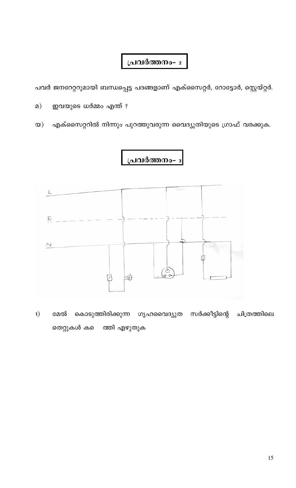പവർ ജനറേറ്ററുമായി ബന്ധപ്പെട്ട പദങ്ങളാണ് എക്സൈറ്റർ, റോട്ടോർ, സ്റ്റെയ്റ്റർ.

ഇവയുടെ ധർമ്മം എന്ത് ?  $\Omega$ 

എക്സൈറ്ററിൽ നിന്നും പുറത്തുവരുന്ന വൈദ്യുതിയുടെ ഗ്രാഫ് വരക്കുക.  $\infty)$ 

# <u>പ്രവർത്തനം-</u>



കൊടുത്തിരിക്കുന്ന ഗൃഹവൈദ്യുത സർക്കീട്ടിന്റെ  $1)$ മേൽ ചിത്രത്തിലെ തെറ്റുകൾ കടെ ത്തി എഴുതുക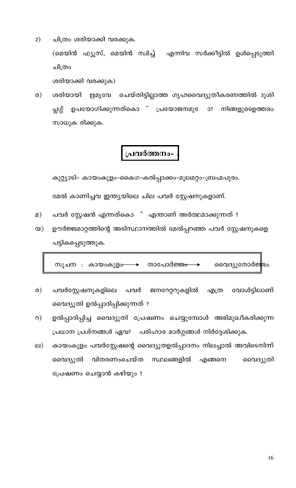- $2)$ ചിത്രം ശരിയാക്കി വരക്കുക. (മെയിൻ ഫ്യൂസ്, മെയിൻ സ്വിച്ച് എന്നിവ സർക്കീട്ടിൽ ഉൾപ്പെടുത്തി ചിത്രം ശരിയാക്കി വരക്കുക)
- $\circ$ ) ശരിയായി ഋമൃവേ ചെയ്തിട്ടില്ലാത്ത ഗൃഹവൈദ്യുതീകരണത്തിൽ ദുശി ഉപയോഗിക്കുന്നത്കൊ ് പ്രയോജനമുേ ാഃ പ്സഗ്ഗ് നിങ്ങളുടെഉത്തരം സാധൂക രിക്കുക.

കുറ്റ്യാടി- കായംകുളം-കൈഗ-കൽപ്പാക്കം-മൂലമറ്റം-ബ്രഹ്മപുരം.

മേൽ കാണിച്ചവ ഇന്ത്യയിലെ ചില പവർ സ്റ്റേഷനുകളാണ്.

- പവർ സ്റ്റേഷൻ എന്നത്കൊ ് എന്താണ് അർത്ഥമാക്കുന്നത് ?  $\Omega$ )
- ഊർജ്ജമാറ്റത്തിന്റെ അടിസ്ഥാനത്തിൽ മേൽപ്പറഞ്ഞ പവർ സ്റ്റേഷനുകളെ  $\infty)$ പട്ടികപ്പെടുത്തുക.

താപോർജ<del>്ജം</del> സൂചന : കായംകുള<del>ം</del> വൈദ്യുതോർജ്ജം.

- $\infty$ ) പവർസ്റ്റേഷനുകളിലെ പവർ ജനറേറ്ററുകളിൽ വോൾട്ടിലാണ് എത്ര വൈദ്യുതി ഉൽപ്പാദിപ്പിക്കുന്നത് ?
- ഉൽപ്പാദിപ്പിച്ച വൈദ്യുതി പ്രേഷണം ചെയ്യുമ്പോൾ അഭിമുഖീകരിക്കുന്ന  $\circ$ ) പ്രധാന പ്രശ്നങ്ങൾ ഏവ? പരിഹാര മാർഗ്ഗങ്ങൾ നിർദ്ദേശിക്കുക.
- കായംകുളം പവർസ്റ്റേഷന്റെ വൈദ്യുതഉൽപ്പാദനം നിലച്ചാൽ അവിടെനിന്ന്  $\Box$ ) വൈദ്യുതി വിതരണംചെയ്ത സ്ഥലങ്ങളിൽ എങ്ങനെ വൈദ്യുതി പ്രേഷണം ചെയ്യാൻ കഴിയും ?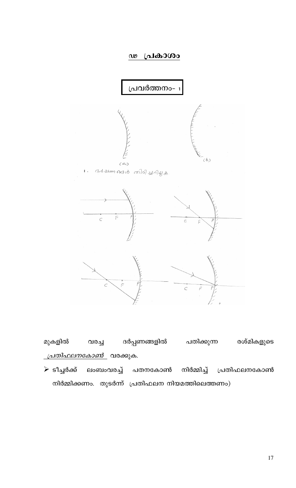#### ഢ പ്രകാശം



മുകളിൽ ദർപ്പണങ്ങളിൽ പതിക്കുന്ന രശ്മികളുടെ വരച്ച <u>\_*പ്രതിഫലനകോൺ\_* വ</u>രക്കുക.

≻ ടീച്ചർക്ക് ലംബംവരച്ച് പതനകോൺ നിർമ്മിച്ച് പ്രതിഫലനകോൺ നിർമ്മിക്കണം. തുടർന്ന് പ്രതിഫലന നിയമത്തിലെത്തണം)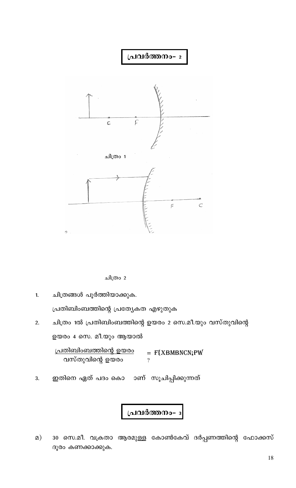

ചിത്രം 2

 $1.$ ചിത്രങ്ങൾ പൂർത്തിയാക്കുക.

പ്രതിബിംബത്തിന്റെ പ്രത്യേകത എഴുതുക

ചിത്രം 1ൽ പ്രതിബിംബത്തിന്റെ ഉയരം 2 സെ.മീ.യും വസ്തുവിന്റെ  $2.$ ഉയരം 4 സെ. മീ.യും ആയാൽ

<u>പ്രതിബിംബത്തിന്റെ ഉയരം</u>  $=$  F{XBMBNCN;PW വസ്തുവിന്റെ ഉയരം  $\gamma$ 

ഇതിനെ ഏത് പദം കൊ ാണ് സൂചിപ്പിക്കുന്നത് 3.

പ്രവർത്തനം-

30 സെ.മീ. വക്രതാ ആരമുള്ള കോൺകേവ് ദർപ്പണത്തിന്റെ ഫോക്കസ്  $\Omega$ ) ദൂരം കണക്കാക്കുക.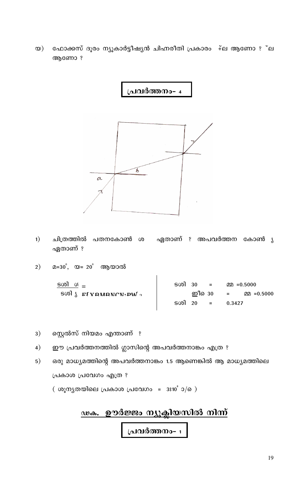ഫോക്കസ് ദൂരം ന്യൂകാർട്ടീഷ്യൻ ചിഹ്നരീതി പ്രകാരം ∔്ല ആണോ ? ്ല  $\infty)$ ആണോ?

പ്രവർത്തനം- <sup>4</sup>



- $1)$ ചിത്രത്തിൽ പതനകോൺ ശ ഏതാണ് ? അപവർത്തന കോൺ  $\lambda$ ഏതാണ് ?
- മ=30°, യ= 20° ആയാൽ  $2)$

| ടതി ശ <u>–</u>                             | ടശി 30 = |  |        | $220 = 0.5000$     |
|--------------------------------------------|----------|--|--------|--------------------|
| $\sim$ Mq. IT Equation of $\sim$ 500 $\mu$ |          |  |        | ഇീ30 = മ്മ =0.5000 |
|                                            | ടശി 20 = |  | 0.3427 |                    |
|                                            |          |  |        |                    |

- സ്റ്റെൽസ് നിയമം എന്താണ് ?  $3)$
- ഈ പ്രവർത്തനത്തിൽ ഗ്ലാസിന്റെ അപവർത്തനാങ്കം എത്ര ?  $4)$
- ഒരു മാധ്യമത്തിന്റെ അപവർത്തനാങ്കം 1.5 ആണെങ്കിൽ ആ മാധ്യമത്തിലെ  $5)$ പ്രകാശ പ്രവേഗം എത്ര ?

( ശുന്യതയിലെ പ്രകാശ പ്രവേഗം =  $3310^{\circ}$ ാ/െ)

# <u>ഢക. ഊർജ്ജം ന്യൂക്ലിയസിൽ നിന്ന്</u> പ്രവർത്തനം- പ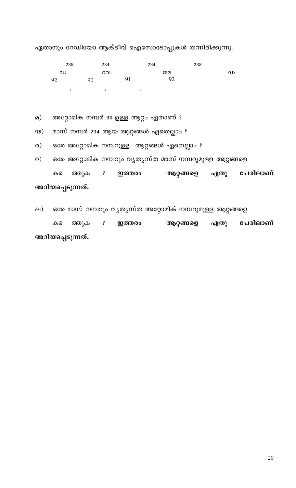### അറിയപ്പെടുന്നത്.

ഒരേ മാസ് നമ്പറും വ്യത്യസ്ത അറ്റോമിക് നമ്പറുമുള്ള ആറ്റങ്ങളെ  $\Box$ )  $\ddot{\mathbf{S}}$ പേരിലാണ് ത്തുക ഇത്തരം ആറ്റങ്ങളെ ഏതു കടെ

### അറിയപ്പെടുന്നത്.

ഒരേ അറ്റോമിക നമ്പറും വ്യത്യസ്ത മാസ് നമ്പറുമുള്ള ആറ്റങ്ങളെ  $\circ$ ) ത്തുക  $\ddot{\mathbf{S}}$ ഇത്തരം ആറ്റങ്ങളെ ഏതു പേരിലാണ് കടെ

ഒരേ അറ്റോമിക നമ്പറുള്ള ആറ്റങ്ങൾ ഏതെല്ലാം ?  $\circ$ )

മാസ് നമ്പർ 234 ആയ ആറ്റങ്ങൾ ഏതെല്ലാം ?  $\infty)$ 

അറ്റോമിക നമ്പർ 90 ഉള്ള ആറ്റം ഏതാണ് ?  $\Omega$ )

|          | 235     |    | 234     |    | 234 |    | 238 |   |
|----------|---------|----|---------|----|-----|----|-----|---|
| $\omega$ |         |    | ഠവ      |    |     | ஜற |     | ഡ |
| 92       |         | 90 |         | 91 |     | 92 |     |   |
|          | $\cdot$ |    | $\cdot$ |    |     |    |     |   |

ഏതാനും റേഡിയോ ആക്ടീവ് ഐസോടോപ്പുകൾ തന്നിരിക്കുന്നു.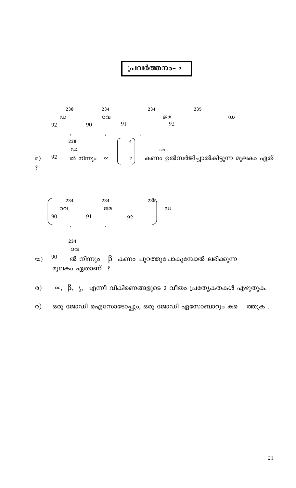

 $\propto, \ \ \beta, \ \ \S, \ \ \mathfrak{a}$ ന്നീ വികിരണങ്ങളുടെ 2 വീതം പ്രത്യേകതകൾ എഴുതുക.  $\circ$ )

ഒരു ജോഡി ഐസോടോപ്പും, ഒരു ജോഡി ഏസോബാറും കടെ  $\circ$ ) ത്തുക .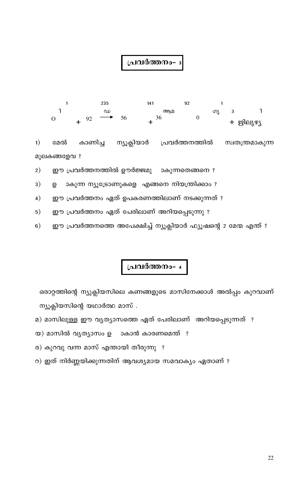

ന്യൂക്ലിയാർ  $1)$ കാണിച്ച പ്രവർത്തനത്തിൽ സ്വതന്ത്രമാകുന്ന മേൽ മുലകങ്ങളേവ ?

ാകുന്നതെങ്ങനെ ? ഈ പ്രവർത്തനത്തിൽ ഊർജ്ജമു  $2)$ 

 $3)$ ാകുന്ന ന്യൂട്രോണുകളെ എങ്ങനെ നിയന്ത്രിക്കാം ? ഉ

ഈ പ്രവർത്തനം ഏത് ഉപകരണത്തിലാണ് നടക്കുന്നത് ?  $4)$ 

ഈ പ്രവർത്തനം ഏത് പേരിലാണ് അറിയപ്പെടുന്നു ?  $5)$ 

ഈ പ്രവർത്തനത്തെ അപേക്ഷിച്ച് ന്യൂക്ലിയാർ ഫ്യൂഷന്റെ 2 മേന്മ എന്ത് ?  $6)$ 

# പ്രവർത്തനം- 4

ഒരാറ്റത്തിന്റെ ന്യുക്ലിയസിലെ കണങ്ങളുടെ മാസിനേക്കാൾ അൽപ്പം കുറവാണ് ന്യൂക്ലിയസിന്റെ യഥാർത്ഥ മാസ്.

മ) മാസിലുള്ള ഈ വൃത്യാസത്തെ ഏത് പേരിലാണ് അറിയപ്പെടുന്നത് ?

ര) കുറവു വന്ന മാസ് എന്തായി തീരുന്നു ?

യ) മാസിൽ വ്യത്യാസം ഉ ാകാൻ കാരണമെന്ത് ?

റ) ഇത് നിർണ്ണയിക്കുന്നതിന് ആവശ്യമായ സമവാക്യം ഏതാണ് ?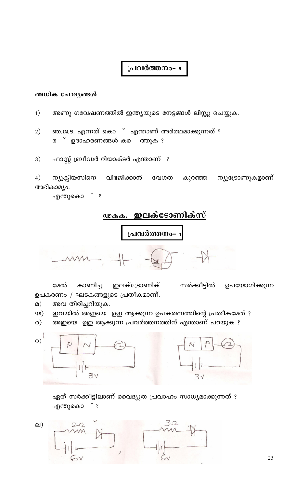#### അധിക ചോദ്യങ്ങൾ

- $1)$ അണു ഗവേഷണത്തിൽ ഇന്ത്യയുടെ നേട്ടങ്ങൾ ലിസ്റ്റു ചെയ്യുക.
- ഞ.ജ.ട. എന്നത് കൊ ് എന്താണ് അർത്ഥമാക്കുന്നത് ?  $2)$ ര ് ഉദാഹരണങ്ങൾ കടെ ത്തുക ?
- ഫാസ്റ്റ് ബ്രീഡർ റിയാക്ടർ എന്താണ് ?  $3)$

 $4)$ ന്യൂക്ലിയസിനെ വിഭജിക്കാൻ വേഗത കുറഞ്ഞ ന്യൂട്രോണുകളാണ് അഭികാമ്യം.

എന്തുകൊ ് ?

ഇലക്ടോണിക്സ് ഢകക. പ്രവർത്തന<mark>ം</mark>-

മേൽ കാണിച്ച ഇലക്ട്രോണിക് സർക്കീട്ടിൽ ഉപയോഗിക്കുന്ന ഉപകരണം / ഘടകങ്ങളുടെ പ്രതീകമാണ്.

- $\Omega$ ) അവ തിരിച്ചറിയുക.
- ഇവയിൽ അഇയെ ഉഇ ആക്കുന്ന ഉപകരണത്തിന്റെ പ്രതീകമേത് ?  $\infty)$
- $\omega$ ) അഇയെ ഉഇ ആക്കുന്ന പ്രവർത്തനത്തിന് എന്താണ് പറയുക ?



ഏത് സർക്കീട്ടിലാണ് വൈദ്യുത പ്രവാഹം സാധ്യമാക്കുന്നത് ?  $\sim$  3 എന്തുകൊ

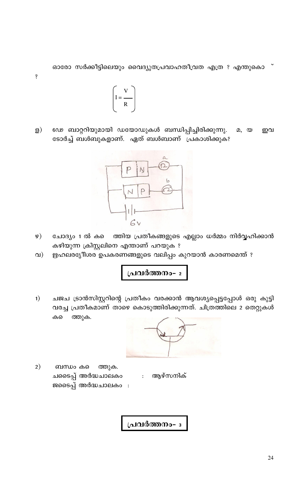ഓരോ സർക്കീട്ടിലെയും വൈദ്യുതപ്രവാഹതീവ്രത എത്ര ? എന്തുകൊ



 $\dot{\mathbf{S}}$ 

ഡെ ബാറ്ററിയുമായി ഡയോഡുകൾ ബന്ധിപ്പിച്ചിരിക്കുന്നു.  $\mathbf{B}$  $(2, 0)$ ഇവ ടോർച്ച് ബൾബുകളാണ്. ഏത് ബൾബാണ് പ്രകാശിക്കുക?



- $\varphi)$ ചോദ്യം 1 ൽ കടെ ത്തിയ പ്രതീകങ്ങളുടെ എല്ലാം ധർമ്മം നിർവ്വഹിക്കാൻ കഴിയുന്ന ക്രിസ്റ്റലിനെ എന്താണ് പറയുക ?
- ഋഹലരഭ്യീശര ഉപകരണങ്ങളുടെ വലിപ്പം കുറയാൻ കാരണമെന്ത് ?  $\Omega$

പ്രവർത്തനം- 2

ചജച ട്രാൻസിസ്റ്ററിന്റെ പ്രതീകം വരക്കാൻ ആവശ്യപ്പെട്ടപ്പോൾ ഒരു കുട്ടി  $1)$ വരച്ച പ്രതീകമാണ് താഴെ കൊടുത്തിരിക്കുന്നത്. ചിത്രത്തിലെ 2 തെറ്റുകൾ ത്തുക. കടെ



 $2)$ ബന്ധം കടെ ത്തുക. : ആഴ്സനിക് ചടൈപ്പ് അർദ്ധചാലകം ജടൈപ്പ് അർദ്ധചാലകം :

പ്രവർത്തനം-  $_3$ 

24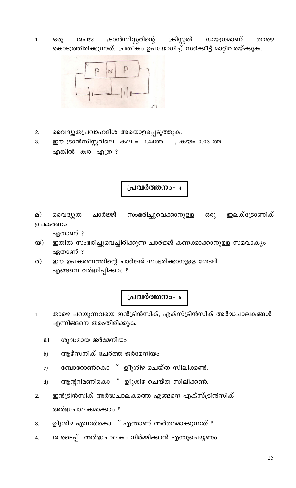ഡയഗ്രമാണ് ട്രാൻസിസ്റ്ററിന്റെ ക്രിസ്റ്റൽ  $1.$ குபு ഒരു താഴെ കൊടുത്തിരിക്കുന്നത്. പ്രതീകം ഉപയോഗിച്ച് സർക്കീട്ട് മാറ്റിവരയ്ക്കുക.



- വൈദ്യുതപ്രവാഹദിശ അയൊളപ്പെടുത്തുക.  $2.$
- 3. ഈ ട്രാൻസിസ്റ്ററിലെ കല = 1.44അ , കയ= 0.03 അ എങ്കിൽ കര എത്ര ?

പ്രവർത്തനം- <sup>4</sup>

 $\Omega$ ) വൈദ്യുത ചാർജ്ജ് സംഭരിച്ചുവെക്കാനുള്ള ഇലക്ട്രോണിക് ഒരു ഉപകരണം

ഏതാണ് ?

- ഇതിൽ സംഭരിച്ചുവെച്ചിരിക്കുന്ന ചാർജ്ജ് കണക്കാക്കാനുള്ള സമവാക്യം  $\infty)$ ഏതാണ് ?
- ഈ ഉപകരണത്തിന്റെ ചാർജ്ജ് സംഭരിക്കാനുള്ള ശേഷി  $\circ$ എങ്ങനെ വർദ്ധിപ്പിക്കാം ?

# പ്രവർത്തനം- 5

- താഴെ പറയുന്നവയെ ഇൻട്രിൻസിക്, എക്സ്ട്രിൻസിക് അർദ്ധചാലകങ്ങൾ  $\mathbf{1}$ എന്നിങ്ങനെ തരംതിരിക്കുക.
	- a) ശുദ്ധമായ ജർമേനിയം
	- ആഴ്സനിക് ചേർത്ത ജർമേനിയം  $b)$
	- ബോറോൺകൊ ് ഉീുശിഴ ചെയ്ത സിലിക്കൺ.  $c)$
	- ആന്ററിമണികൊ ് ഉീുശിഴ ചെയ്ത സിലിക്കൺ.  $\mathbf{d}$
- ഇൻട്രിൻസിക് അർദ്ധചാലകത്തെ എങ്ങനെ എക്സ്ട്രിൻസിക്  $2.$ അർദ്ധചാലകമാക്കാം ?
- ഉീുശിഴ എന്നത്കൊ ് എന്താണ് അർത്ഥമാക്കുന്നത് ? 3.
- ജ ടൈപ്പ് അർദ്ധചാലകം നിർമ്മിക്കാൻ എന്തുചെയ്യണം 4.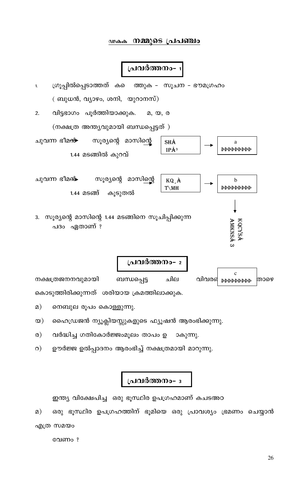#### ഢകക നമ്മുടെ പ്രപഞ്ചാ

#### പ്രവർത്തനം

ഗ്രൂപ്പിൽപ്പെടാത്തത് കടെ ത്തുക - സൂചന - ഭൗമഗ്രഹം  $1.$ ( ബുധൻ, വ്യാഴം, ശനി, യുറാനസ്)

വിട്ടഭാഗം പൂർത്തിയാക്കുക. 2.  $(2, 02, 0$ (നക്ഷത്ര അന്ത്യവുമായി ബന്ധപ്പെട്ടത്)

> **SHÅ** a **рррррррр**  $IP^{\mathring{A}^3}$

> > AMKNSA KQCYSA

ചുവന്ന ഭീമ<del>ൻ</del> സൂര്യന്റെ മാസിന്റെ 1.44 മടങ്ങിൽ കുറവ്

ചുവന്ന ഭീമ<del>ൻ-</del> സൂര്യന്റെ മാസിന്റെ KQ À  $\mathbf b$ **ррьрьрырь** T\MH കൂടുതൽ 1.44 മടങ്ങ്

3. സൂര്യന്റെ മാസിന്റെ 1.44 മടങ്ങിനെ സൂചിപ്പിക്കുന്ന പദം ഏതാണ് ?



നെബുല രൂപം കൊള്ളുന്നു.  $\Omega$ )

ഹൈഡ്രജൻ ന്യൂക്ലിയസ്സുകളുടെ ഫ്യൂഷൻ ആരംഭിക്കുന്നു.  $\infty$ )

വർദ്ധിച്ച ഗതികോർജ്ജംമൂലം താപം ഉ ാകുന്നു.  $\circ$ )

ഊർജ്ജ ഉൽപ്പാദനം ആരംഭിച്ച് നക്ഷത്രമായി മാറുന്നു.  $\circ$ )

#### പ്രവർത്തനം- ഃ

ഇന്ത്യ വിക്ഷേപിച്ച ഒരു ഭൂസ്ഥിര ഉപഗ്രഹമാണ് കചടഅഠ

ഒരു ഭൂസ്ഥിര ഉപഗ്രഹത്തിന് ഭൂമിയെ ഒരു പ്രാവശ്യം ഭ്രമണം ചെയ്യാൻ  $\Omega$ ) എത്ര സമയം

വേണം?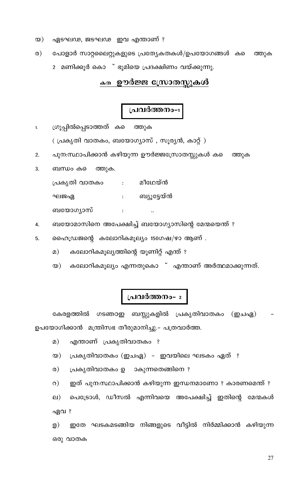- ഏടഘഢ, ജടഘഢ ഇവ എന്താണ് ?  $\infty)$
- $\omega$ ) പോളാർ സാറ്റലൈറ്റുകളുടെ പ്രത്യേകതകൾ/ഉപയോഗങ്ങൾ കടെ ത്തുക
	- 2 മണിക്കൂർ കൊ ് ഭൂമിയെ പ്രദക്ഷിണം വയ്ക്കുന്നു.

#### <sub>കത</sub>് ഊർജ്ജ സ്രോതസ്സുകൾ

### പ്രവർത്തനം-

ഗ്രൂപ്പിൽപ്പെടാത്തത് ക െത്തുക  $1.$ 

( പ്രകൃതി വാതകം, ബയോഗ്യാസ് , സൂര്യൻ, കാറ്റ് )

പുന:സ്ഥാപിക്കാൻ കഴിയുന്ന ഊർജ്ജസ്രോതസ്സുകൾ കടെ 2. ത്തുക

ബന്ധം കടെ 3. ത്തുക.

> പ്രകൃതി വാതകം : മീഥേയ്ൻ ഘജഏ ബ്യൂട്ടേയ്ൻ  $\mathbf{L}$ ബയോഗ്യാസ്  $\ddot{\cdot}$  $\ddot{\cdot}$

ബയോമാസിനെ അപേക്ഷിച്ച് ബയോഗ്യാസിന്റെ മേന്മയെന്ത് ? 4.

ഹൈഡ്രജന്റെ കലോറികമൂല്യം 150ഗഷ/ഴാ ആണ് . 5.

- കലോറികമൂല്യത്തിന്റെ യൂണിറ്റ് എന്ത് ?  $\Omega$ )
- കലോറികമൂല്യം എന്നതുകൊ ് എന്താണ് അർത്ഥമാക്കുന്നത്.  $\infty)$

# പ്രവർത്തനം-  $_2$

കേരളത്തിൽ ഗടഞഠഇ ബസ്സുകളിൽ പ്രകൃതിവാതകം (ഇചഏ) ഉപയോഗിക്കാൻ മന്ത്രിസഭ തീരുമാനിച്ചു.- പത്രവാർത്ത.

എന്താണ് പ്രകൃതിവാതകം ?  $\Omega$ )

പ്രകൃതിവാതകം (ഇചഏ) - ഇവയിലെ ഘടകം ഏത് ?  $\infty)$ 

ാകുന്നതെങ്ങിനെ ?  $\circ$ ) പ്രകൃതിവാതകം ഉ

ഇത് പുന:സ്ഥാപിക്കാൻ കഴിയുന്ന ഇന്ധനമാണോ ? കാരണമെന്ത് ?  $\circ$ )

പെട്രോൾ, ഡീസൽ എന്നിവയെ അപേക്ഷിച്ച് ഇതിന്റെ മേന്മകൾ <u>வ)</u> ഏവ ?

ഇതേ ഘടകമടങ്ങിയ നിങ്ങളുടെ വീട്ടിൽ നിർമ്മിക്കാൻ കഴിയുന്ന ള) ഒരു വാതക

27